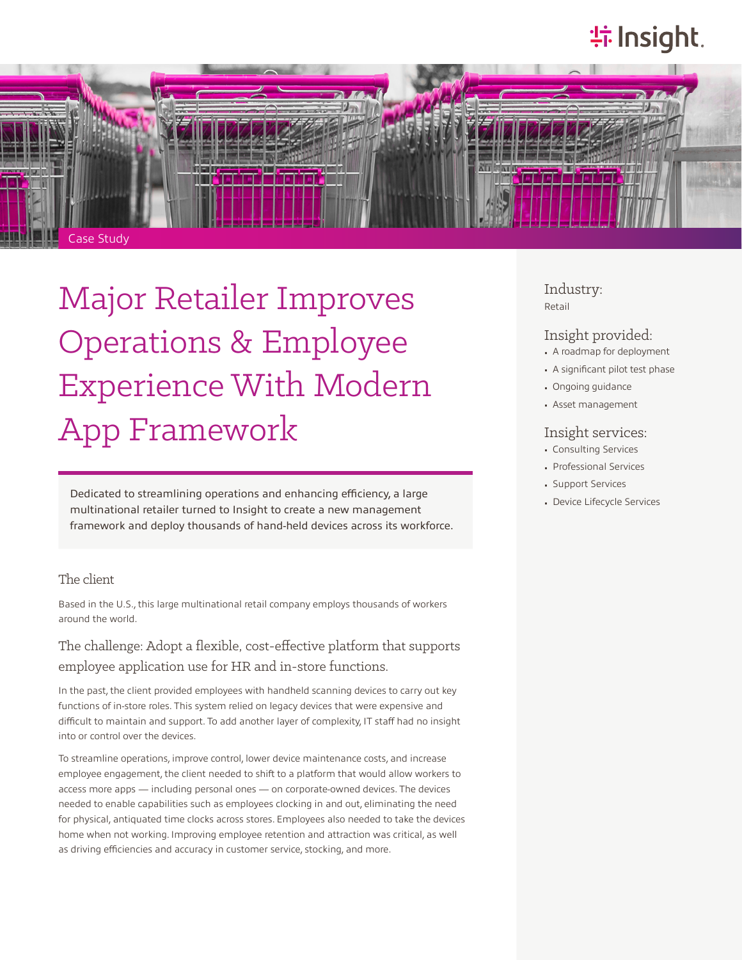# **特Insight**



Major Retailer Improves Operations & Employee Experience With Modern App Framework

Dedicated to streamlining operations and enhancing efficiency, a large multinational retailer turned to Insight to create a new management framework and deploy thousands of hand-held devices across its workforce.

### The client

Based in the U.S., this large multinational retail company employs thousands of workers around the world.

The challenge: Adopt a flexible, cost-effective platform that supports employee application use for HR and in-store functions.

In the past, the client provided employees with handheld scanning devices to carry out key functions of in-store roles. This system relied on legacy devices that were expensive and difficult to maintain and support. To add another layer of complexity, IT staff had no insight into or control over the devices.

To streamline operations, improve control, lower device maintenance costs, and increase employee engagement, the client needed to shift to a platform that would allow workers to access more apps — including personal ones — on corporate-owned devices. The devices needed to enable capabilities such as employees clocking in and out, eliminating the need for physical, antiquated time clocks across stores. Employees also needed to take the devices home when not working. Improving employee retention and attraction was critical, as well as driving efficiencies and accuracy in customer service, stocking, and more.

#### Industry: Retail

#### Insight provided:

- A roadmap for deployment
- A significant pilot test phase
- Ongoing guidance
- Asset management

### Insight services:

- Consulting Services
- Professional Services
- Support Services
- Device Lifecycle Services